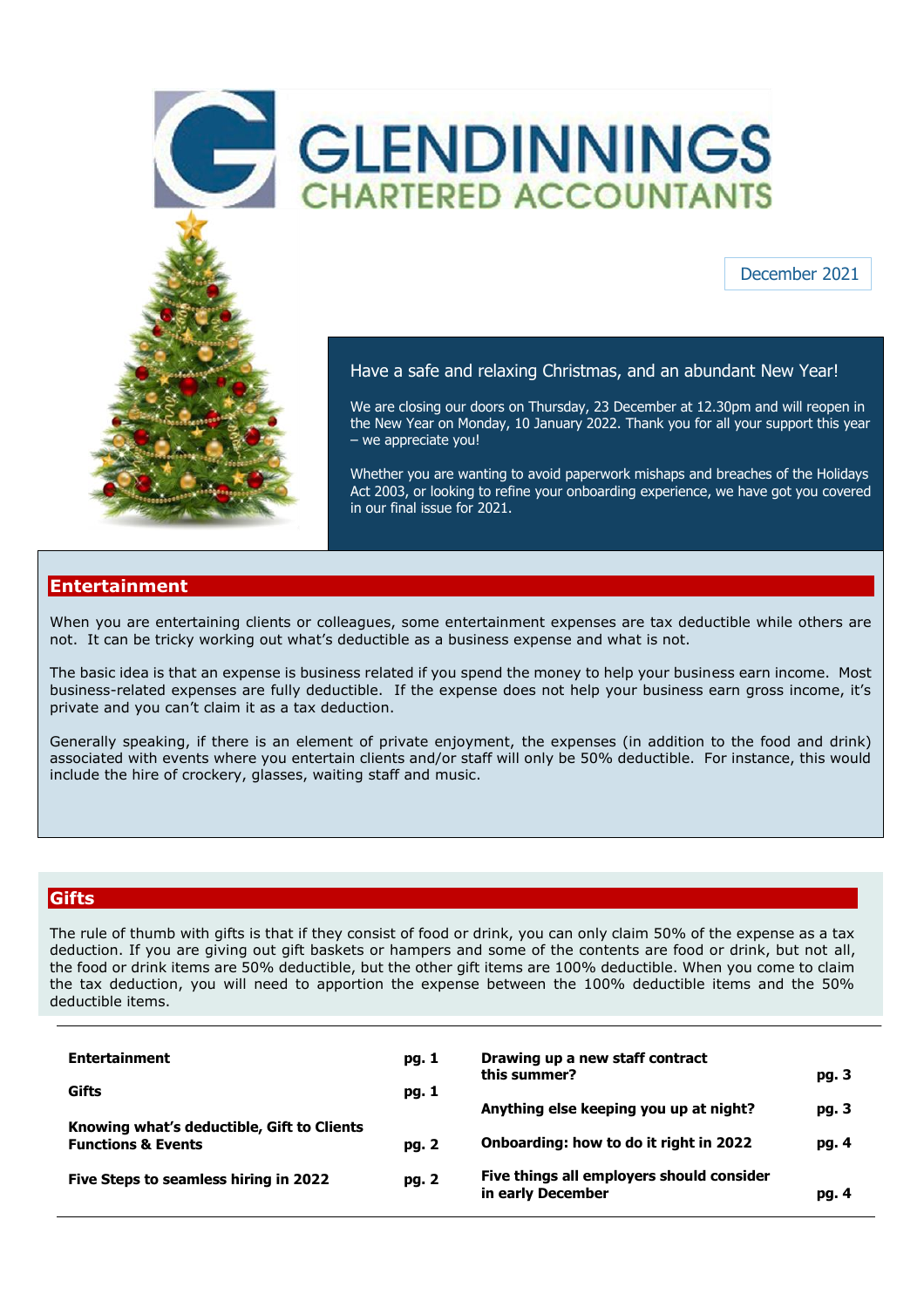



## December 2021

## Have a safe and relaxing Christmas, and an abundant New Year!

We are closing our doors on Thursday, 23 December at 12.30pm and will reopen in the New Year on Monday, 10 January 2022. Thank you for all your support this year – we appreciate you!

Whether you are wanting to avoid paperwork mishaps and breaches of the Holidays Act 2003, or looking to refine your onboarding experience, we have got you covered in our final issue for 2021.

### **Entertainment**

When you are entertaining clients or colleagues, some entertainment expenses are tax deductible while others are not. It can be tricky working out what's deductible as a business expense and what is not.

The basic idea is that an expense is business related if you spend the money to help your business earn income. Most business-related expenses are fully deductible. If the expense does not help your business earn gross income, it's private and you can't claim it as a tax deduction.

Generally speaking, if there is an element of private enjoyment, the expenses (in addition to the food and drink) associated with events where you entertain clients and/or staff will only be 50% deductible. For instance, this would include the hire of crockery, glasses, waiting staff and music.

# **Gifts**

The rule of thumb with gifts is that if they consist of food or drink, you can only claim 50% of the expense as a tax deduction. If you are giving out gift baskets or hampers and some of the contents are food or drink, but not all, the food or drink items are 50% deductible, but the other gift items are 100% deductible. When you come to claim the tax deduction, you will need to apportion the expense between the 100% deductible items and the 50% deductible items.

| <b>Entertainment</b>                                                        | pg. 1 | Drawing up a new staff contract                                |       |
|-----------------------------------------------------------------------------|-------|----------------------------------------------------------------|-------|
| Gifts                                                                       | pg. 1 | this summer?                                                   | pg. 3 |
|                                                                             |       | Anything else keeping you up at night?                         | pg. 3 |
| Knowing what's deductible, Gift to Clients<br><b>Functions &amp; Events</b> | pg. 2 | Onboarding: how to do it right in 2022                         | pg. 4 |
| Five Steps to seamless hiring in 2022                                       | pg. 2 | Five things all employers should consider<br>in early December | pg. 4 |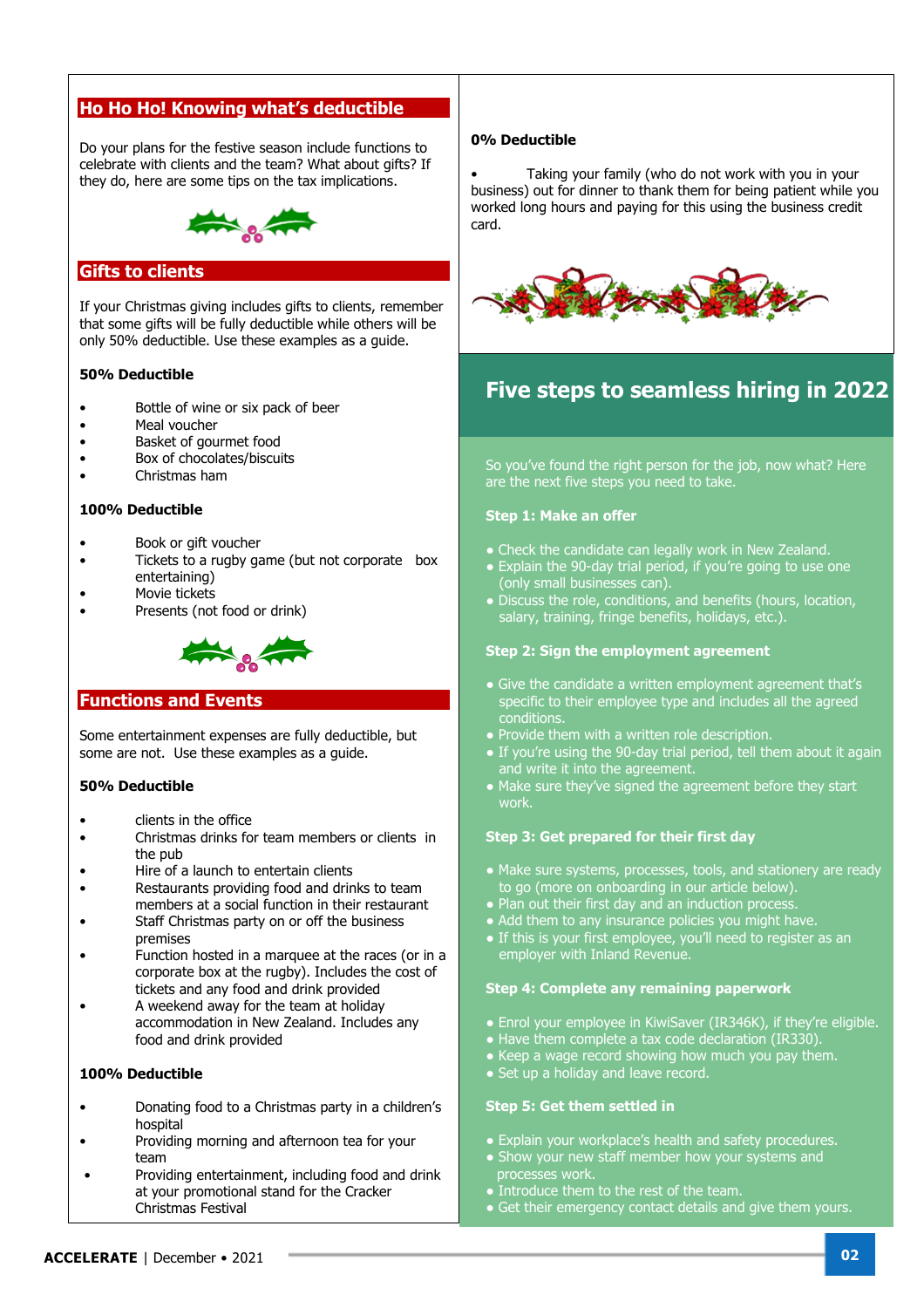# **Ho Ho Ho! Knowing what's deductible**

 they do, here are some tips on the tax implications. Do your plans for the festive season include functions to celebrate with clients and the team? What about gifts? If



## **Gifts to clients**

If your Christmas giving includes gifts to clients, remember that some gifts will be fully deductible while others will be only 50% deductible. Use these examples as a guide.

### **50% Deductible**

- Bottle of wine or six pack of beer
- Meal voucher
- Basket of gourmet food
- Box of chocolates/biscuits
- Christmas ham

#### **100% Deductible**

- Book or gift voucher
- Tickets to a rugby game (but not corporate box entertaining)
- Movie tickets
- Presents (not food or drink)



#### **Functions and Events**

Some entertainment expenses are fully deductible, but some are not. Use these examples as a guide.

#### **50% Deductible**

- clients in the office
- Christmas drinks for team members or clients in the pub
- Hire of a launch to entertain clients
- Restaurants providing food and drinks to team members at a social function in their restaurant
- Staff Christmas party on or off the business premises
- Function hosted in a marquee at the races (or in a corporate box at the rugby). Includes the cost of tickets and any food and drink provided
- A weekend away for the team at holiday accommodation in New Zealand. Includes any food and drink provided

#### **100% Deductible**

- Donating food to a Christmas party in a children's hospital
- Providing morning and afternoon tea for your team
- Providing entertainment, including food and drink at your promotional stand for the Cracker Christmas Festival

#### **0% Deductible**

• Taking your family (who do not work with you in your business) out for dinner to thank them for being patient while you worked long hours and paying for this using the business credit card.



# **Five steps to seamless hiring in 2022**

So you've found the right person for the job, now what? Here are the next five steps you need to take.

#### **Step 1: Make an offer**

- Check the candidate can legally work in New Zealand.
- Explain the 90-day trial period, if you're going to use one (only small businesses can).
- Discuss the role, conditions, and benefits (hours, location, salary, training, fringe benefits, holidays, etc.).

#### **Step 2: Sign the employment agreement**

- Give the candidate a written employment agreement that's specific to their employee type and includes all the agreed conditions.
- Provide them with a written role description.
- If you're using the 90-day trial period, tell them about it again and write it into the agreement.
- Make sure they've signed the agreement before they start work.

#### **Step 3: Get prepared for their first day**

- Make sure systems, processes, tools, and stationery are ready to go (more on onboarding in our article below).
- $\bullet$  Plan out their first day and an induction process.
- Add them to any insurance policies you might have.
- If this is your first employee, you'll need to register as an employer with Inland Revenue.

#### **Step 4: Complete any remaining paperwork**

- Enrol your employee in KiwiSaver (IR346K), if they're eligible.
- Have them complete a tax code declaration (IR330).
- Keep a wage record showing how much you pay them.
- Set up a holiday and leave record.

#### **Step 5: Get them settled in**

- Explain your workplace's health and safety procedures.
- Show your new staff member how your systems and processes work.
- Introduce them to the rest of the team.
- Get their emergency contact details and give them yours.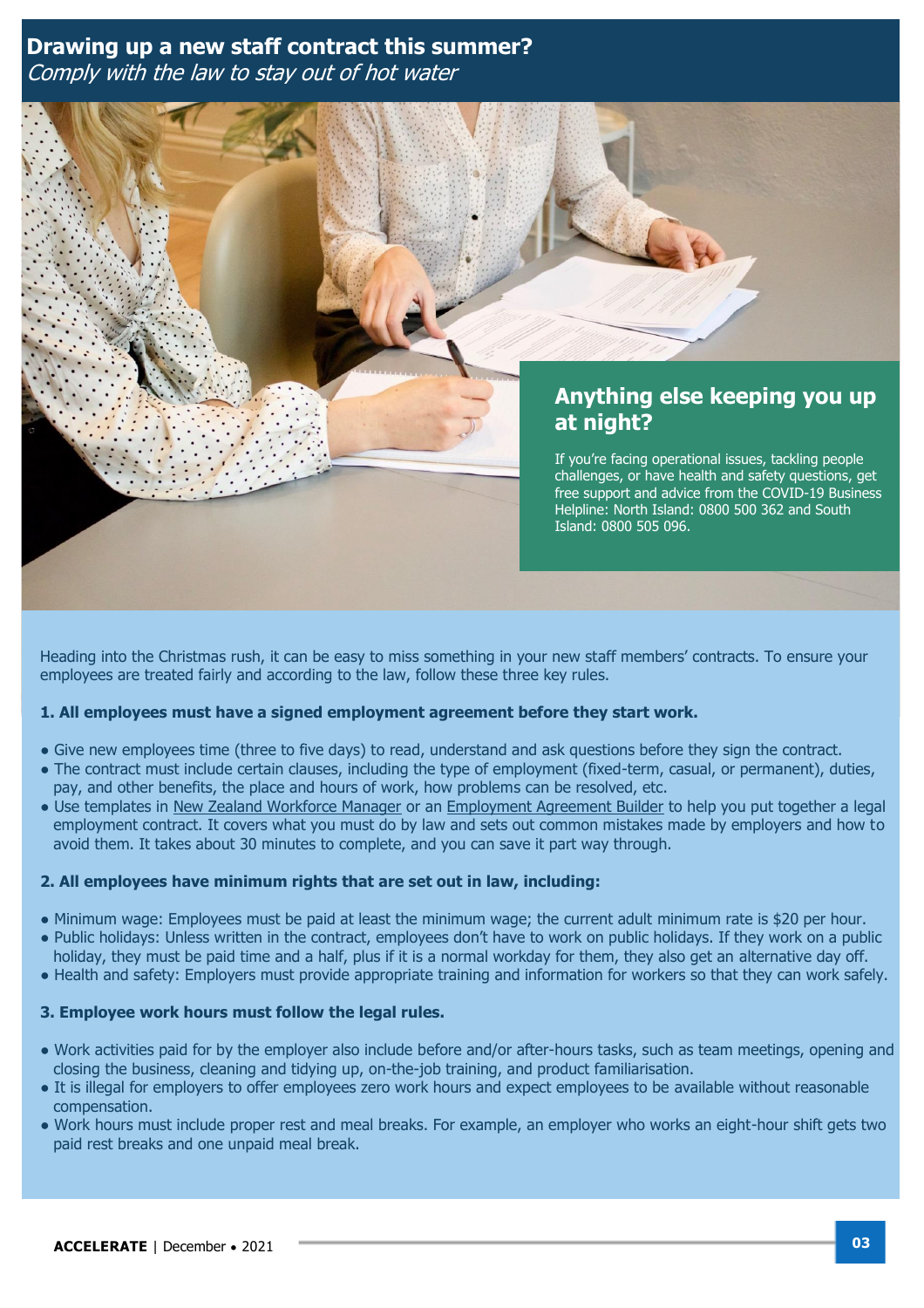# **Drawing up a new staff contract this summer?**  Comply with the law to stay out of hot water



Heading into the Christmas rush, it can be easy to miss something in your new staff members' contracts. To ensure your employees are treated fairly and according to the law, follow these three key rules.

## **1. All employees must have a signed employment agreement before they start work.**

- Give new employees time (three to five days) to read, understand and ask questions before they sign the contract.
- The contract must include certain clauses, including the type of employment (fixed-term, casual, or permanent), duties, pay, and other benefits, the place and hours of work, how problems can be resolved, etc.
- Use templates in [New Zealand Workforce Manager](https://www.wolterskluwer.com/en-nz/solutions/cch-intelliconnect-apac/workforce-manager) or an [Employment Agreement Builder](https://eab.business.govt.nz/employmentagreementbuilder/startscreen/) to help you put together a legal employment contract. It covers what you must do by law and sets out common mistakes made by employers and how to avoid them. It takes about 30 minutes to complete, and you can save it part way through.

#### **2. All employees have minimum rights that are set out in law, including:**

- Minimum wage: Employees must be paid at least the minimum wage; the current adult minimum rate is \$20 per hour.
- Public holidays: Unless written in the contract, employees don't have to work on public holidays. If they work on a public holiday, they must be paid time and a half, plus if it is a normal workday for them, they also get an alternative day off.
- Health and safety: Employers must provide appropriate training and information for workers so that they can work safely.

### **3. Employee work hours must follow the legal rules.**

- Work activities paid for by the employer also include before and/or after-hours tasks, such as team meetings, opening and closing the business, cleaning and tidying up, on-the-job training, and product familiarisation.
- It is illegal for employers to offer employees zero work hours and expect employees to be available without reasonable compensation.
- Work hours must include proper rest and meal breaks. For example, an employer who works an eight-hour shift gets two paid rest breaks and one unpaid meal break.